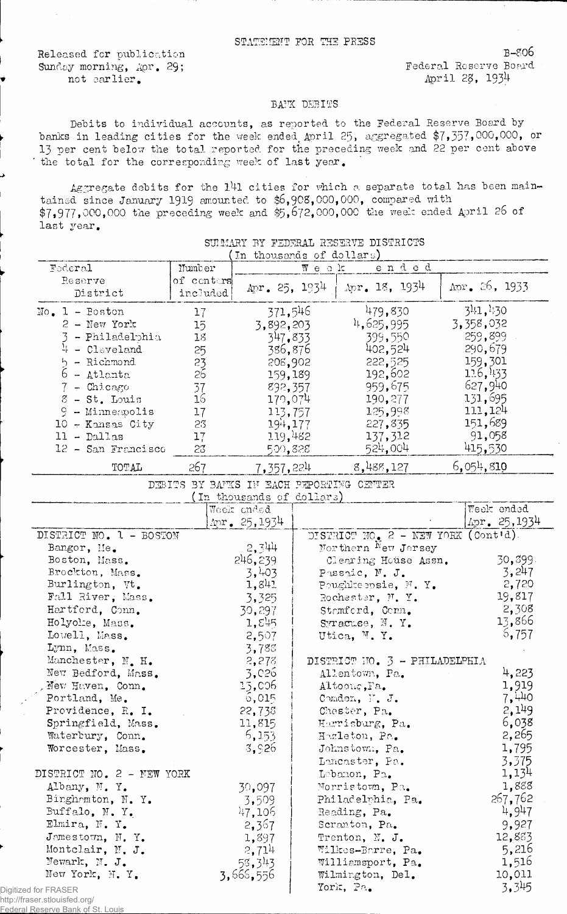Released for publication<br>
Sunday morning, Apr. 29: Sunday Reserve Board Sunday morning, Apr. 29; not earlier. (a) and the contract of the contract of the contract of the contract of the contract of the contract of the contract of the contract of the contract of the contract of the contract of the contract of the contr

## BAFK DEBITS

Debits to individual accounts, as reported to the Federal Reserve Board by banks in leading cities for the week ended April 25, aggregated \$7,357,000,000, or 13 per cent below the total reported for the preceding week and 22 per cent above the total for the corresponding week of last year.

Aggregate debits for the 141 cities for which a separate total has been maintained since January 1919 amounted to \$6,908,000,000, compared with \$7,977,000,000 the preceding week and \$5,672,000,000 the week ended April 26 of last year.

SUIMARY BY FEDERAL RESERVE DISTRICTS

| Number<br>of centers<br>included<br>17<br>15 <sub>15</sub><br>18<br>25<br>$\frac{25}{26}$<br>37<br>16<br>17<br>23<br>17 <sub>1</sub><br>23<br>267 | In thousands of dollars)<br>Apr. 25, 1934<br>371,546<br>3,892,203<br>347.833<br>386,876<br>208,902<br>159,189<br>892,357<br>170,074<br>113,757<br>194,177<br>119,482<br>500,828<br>7,357,224<br>(In thousands of dollars)<br>Week ended<br>$\Delta \text{pr}$ . 25, 1934<br>2,344 | $W$ e o k                                                                                                     | ended<br>$\text{Apr. } 18, 1934$<br>479,830<br>4,625,995<br>399,550<br>402,524<br>222,525<br>192,602<br>959,675<br>190,277<br>125,998<br>227,835<br>137,312<br>524,004<br>8,488,127<br>DEBITS BY BAFKS IF EACH PEPORTING CEFTER | $\Delta$ pr. 26, 1933<br>341,430<br>3,358,032<br>259,899<br>290,679<br>159,301<br>116,433<br>627,940<br>131,695<br>111,124<br>151,689<br>91,058<br>415,530<br>6,054,810<br>Week ended<br>Apr. 25,1934                                                                                                    |
|---------------------------------------------------------------------------------------------------------------------------------------------------|-----------------------------------------------------------------------------------------------------------------------------------------------------------------------------------------------------------------------------------------------------------------------------------|---------------------------------------------------------------------------------------------------------------|---------------------------------------------------------------------------------------------------------------------------------------------------------------------------------------------------------------------------------|----------------------------------------------------------------------------------------------------------------------------------------------------------------------------------------------------------------------------------------------------------------------------------------------------------|
|                                                                                                                                                   |                                                                                                                                                                                                                                                                                   |                                                                                                               |                                                                                                                                                                                                                                 |                                                                                                                                                                                                                                                                                                          |
|                                                                                                                                                   |                                                                                                                                                                                                                                                                                   |                                                                                                               |                                                                                                                                                                                                                                 |                                                                                                                                                                                                                                                                                                          |
|                                                                                                                                                   |                                                                                                                                                                                                                                                                                   |                                                                                                               |                                                                                                                                                                                                                                 |                                                                                                                                                                                                                                                                                                          |
|                                                                                                                                                   |                                                                                                                                                                                                                                                                                   |                                                                                                               |                                                                                                                                                                                                                                 |                                                                                                                                                                                                                                                                                                          |
|                                                                                                                                                   |                                                                                                                                                                                                                                                                                   |                                                                                                               |                                                                                                                                                                                                                                 |                                                                                                                                                                                                                                                                                                          |
|                                                                                                                                                   |                                                                                                                                                                                                                                                                                   |                                                                                                               |                                                                                                                                                                                                                                 |                                                                                                                                                                                                                                                                                                          |
|                                                                                                                                                   |                                                                                                                                                                                                                                                                                   |                                                                                                               |                                                                                                                                                                                                                                 |                                                                                                                                                                                                                                                                                                          |
|                                                                                                                                                   |                                                                                                                                                                                                                                                                                   |                                                                                                               |                                                                                                                                                                                                                                 |                                                                                                                                                                                                                                                                                                          |
|                                                                                                                                                   |                                                                                                                                                                                                                                                                                   |                                                                                                               |                                                                                                                                                                                                                                 |                                                                                                                                                                                                                                                                                                          |
|                                                                                                                                                   |                                                                                                                                                                                                                                                                                   |                                                                                                               |                                                                                                                                                                                                                                 |                                                                                                                                                                                                                                                                                                          |
|                                                                                                                                                   |                                                                                                                                                                                                                                                                                   |                                                                                                               |                                                                                                                                                                                                                                 |                                                                                                                                                                                                                                                                                                          |
|                                                                                                                                                   |                                                                                                                                                                                                                                                                                   |                                                                                                               |                                                                                                                                                                                                                                 |                                                                                                                                                                                                                                                                                                          |
|                                                                                                                                                   |                                                                                                                                                                                                                                                                                   |                                                                                                               |                                                                                                                                                                                                                                 |                                                                                                                                                                                                                                                                                                          |
|                                                                                                                                                   |                                                                                                                                                                                                                                                                                   |                                                                                                               |                                                                                                                                                                                                                                 |                                                                                                                                                                                                                                                                                                          |
|                                                                                                                                                   |                                                                                                                                                                                                                                                                                   |                                                                                                               |                                                                                                                                                                                                                                 |                                                                                                                                                                                                                                                                                                          |
|                                                                                                                                                   |                                                                                                                                                                                                                                                                                   |                                                                                                               |                                                                                                                                                                                                                                 |                                                                                                                                                                                                                                                                                                          |
|                                                                                                                                                   |                                                                                                                                                                                                                                                                                   |                                                                                                               |                                                                                                                                                                                                                                 |                                                                                                                                                                                                                                                                                                          |
|                                                                                                                                                   |                                                                                                                                                                                                                                                                                   |                                                                                                               |                                                                                                                                                                                                                                 |                                                                                                                                                                                                                                                                                                          |
|                                                                                                                                                   |                                                                                                                                                                                                                                                                                   |                                                                                                               |                                                                                                                                                                                                                                 |                                                                                                                                                                                                                                                                                                          |
|                                                                                                                                                   |                                                                                                                                                                                                                                                                                   |                                                                                                               |                                                                                                                                                                                                                                 |                                                                                                                                                                                                                                                                                                          |
|                                                                                                                                                   |                                                                                                                                                                                                                                                                                   |                                                                                                               | DISTRICT NO. 2 - NEW YORK (Cont'd).                                                                                                                                                                                             |                                                                                                                                                                                                                                                                                                          |
|                                                                                                                                                   |                                                                                                                                                                                                                                                                                   |                                                                                                               | Morthern New Jersey                                                                                                                                                                                                             |                                                                                                                                                                                                                                                                                                          |
|                                                                                                                                                   | 246,239                                                                                                                                                                                                                                                                           |                                                                                                               | Clearing House Assn.                                                                                                                                                                                                            | 30,899.                                                                                                                                                                                                                                                                                                  |
|                                                                                                                                                   | 3,403                                                                                                                                                                                                                                                                             |                                                                                                               | Passaic, N. J.                                                                                                                                                                                                                  | 3,247                                                                                                                                                                                                                                                                                                    |
|                                                                                                                                                   | 1,841                                                                                                                                                                                                                                                                             |                                                                                                               | Poughkeensie, N.Y.                                                                                                                                                                                                              | 2,720                                                                                                                                                                                                                                                                                                    |
|                                                                                                                                                   | 3,325                                                                                                                                                                                                                                                                             |                                                                                                               | Rochester, N.Y.                                                                                                                                                                                                                 | 19,817                                                                                                                                                                                                                                                                                                   |
|                                                                                                                                                   | 30,297                                                                                                                                                                                                                                                                            |                                                                                                               | Stemford, Conn.                                                                                                                                                                                                                 | 2,308                                                                                                                                                                                                                                                                                                    |
|                                                                                                                                                   | 1,545                                                                                                                                                                                                                                                                             |                                                                                                               | Syracuse, N.Y.                                                                                                                                                                                                                  | 13,866                                                                                                                                                                                                                                                                                                   |
|                                                                                                                                                   | 2,507                                                                                                                                                                                                                                                                             |                                                                                                               | Utica, M.Y.                                                                                                                                                                                                                     | 6,757                                                                                                                                                                                                                                                                                                    |
|                                                                                                                                                   | 3,788                                                                                                                                                                                                                                                                             |                                                                                                               |                                                                                                                                                                                                                                 |                                                                                                                                                                                                                                                                                                          |
|                                                                                                                                                   | 2,278                                                                                                                                                                                                                                                                             |                                                                                                               | DISTRICT NO. 3 - PHILADELPHIA                                                                                                                                                                                                   |                                                                                                                                                                                                                                                                                                          |
|                                                                                                                                                   | 3,026                                                                                                                                                                                                                                                                             |                                                                                                               | Allentown, Pa.                                                                                                                                                                                                                  | 4,223                                                                                                                                                                                                                                                                                                    |
|                                                                                                                                                   | 15,006                                                                                                                                                                                                                                                                            |                                                                                                               | Altoong, Pa.                                                                                                                                                                                                                    | 1,919                                                                                                                                                                                                                                                                                                    |
|                                                                                                                                                   |                                                                                                                                                                                                                                                                                   |                                                                                                               |                                                                                                                                                                                                                                 | 7,440                                                                                                                                                                                                                                                                                                    |
|                                                                                                                                                   |                                                                                                                                                                                                                                                                                   |                                                                                                               |                                                                                                                                                                                                                                 | 2,149                                                                                                                                                                                                                                                                                                    |
|                                                                                                                                                   |                                                                                                                                                                                                                                                                                   |                                                                                                               |                                                                                                                                                                                                                                 | 6,038                                                                                                                                                                                                                                                                                                    |
|                                                                                                                                                   |                                                                                                                                                                                                                                                                                   |                                                                                                               |                                                                                                                                                                                                                                 | 2,265                                                                                                                                                                                                                                                                                                    |
|                                                                                                                                                   |                                                                                                                                                                                                                                                                                   |                                                                                                               |                                                                                                                                                                                                                                 | 1,795                                                                                                                                                                                                                                                                                                    |
|                                                                                                                                                   |                                                                                                                                                                                                                                                                                   |                                                                                                               |                                                                                                                                                                                                                                 | 3,375                                                                                                                                                                                                                                                                                                    |
|                                                                                                                                                   |                                                                                                                                                                                                                                                                                   |                                                                                                               |                                                                                                                                                                                                                                 | 1,134                                                                                                                                                                                                                                                                                                    |
|                                                                                                                                                   |                                                                                                                                                                                                                                                                                   |                                                                                                               |                                                                                                                                                                                                                                 | 1,888                                                                                                                                                                                                                                                                                                    |
|                                                                                                                                                   |                                                                                                                                                                                                                                                                                   |                                                                                                               |                                                                                                                                                                                                                                 | 267,762                                                                                                                                                                                                                                                                                                  |
|                                                                                                                                                   |                                                                                                                                                                                                                                                                                   |                                                                                                               |                                                                                                                                                                                                                                 | 4,947                                                                                                                                                                                                                                                                                                    |
|                                                                                                                                                   |                                                                                                                                                                                                                                                                                   |                                                                                                               |                                                                                                                                                                                                                                 | 9,927                                                                                                                                                                                                                                                                                                    |
|                                                                                                                                                   |                                                                                                                                                                                                                                                                                   |                                                                                                               |                                                                                                                                                                                                                                 | 12,883                                                                                                                                                                                                                                                                                                   |
|                                                                                                                                                   |                                                                                                                                                                                                                                                                                   |                                                                                                               |                                                                                                                                                                                                                                 | 5,216                                                                                                                                                                                                                                                                                                    |
|                                                                                                                                                   |                                                                                                                                                                                                                                                                                   |                                                                                                               |                                                                                                                                                                                                                                 |                                                                                                                                                                                                                                                                                                          |
|                                                                                                                                                   |                                                                                                                                                                                                                                                                                   |                                                                                                               |                                                                                                                                                                                                                                 | 1,516                                                                                                                                                                                                                                                                                                    |
|                                                                                                                                                   |                                                                                                                                                                                                                                                                                   |                                                                                                               |                                                                                                                                                                                                                                 | 10,011<br>3,345                                                                                                                                                                                                                                                                                          |
| DISTRICT NO. 2 - NEW YORK                                                                                                                         |                                                                                                                                                                                                                                                                                   | 6,015<br>22,738<br>11,815<br>6,153<br>3,926<br>30,097<br>3,509<br>47,106<br>2,367<br>1,897<br>2,714<br>58,343 |                                                                                                                                                                                                                                 | Comdon, N. J.<br>Chester, Pa.<br>Harrisburg, Pa.<br>Hazleton, Pa.<br>Johnstown, Pa.<br>Lancaster, Pa.<br>Lebanon, Pa.<br>Norristown, Pa.<br>Philadelphia, Pa.<br>Reading, Pa.<br>Scranton, Pa.<br>Trenton, N. J.<br>Wilkes-Barre, Pa.<br>Williamsport, Pa.<br>3,666,556<br>Wilmington, Del.<br>York, Pa. |

## http://fraser.stlouisfed.org/

Federal Reserve Bank of St. Louis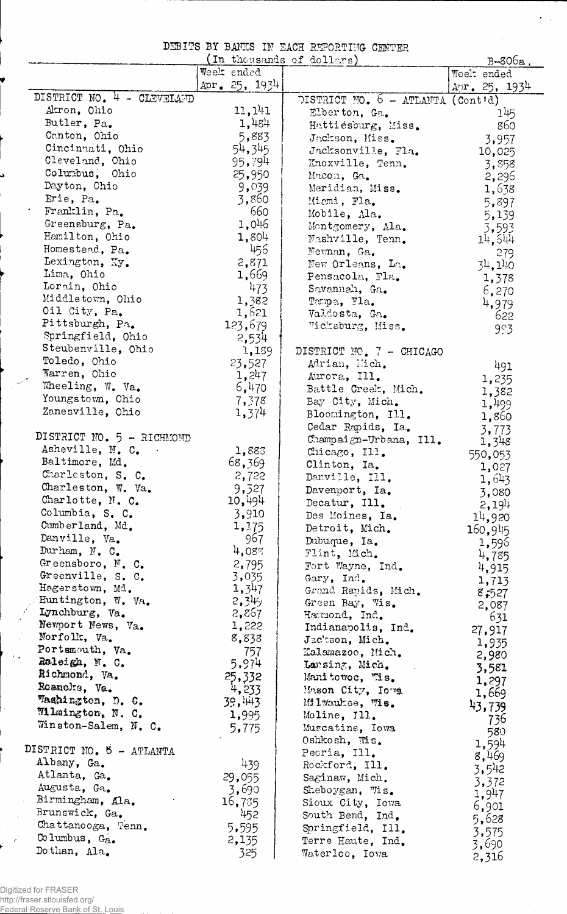DEBITS BY BANKS IN EACH REPORTING CENTER

 $\sigma_{\rm{max}}$ 

 $\mathcal{A}$ 

|                            |                 | (In thousands of dollars)           | $B-806a$ ,      |
|----------------------------|-----------------|-------------------------------------|-----------------|
|                            | Week ended      |                                     | Weelt ended     |
|                            | Apr. $25, 1934$ |                                     | Apr. $25, 1934$ |
| DISTRICT NO. 4 - CLEVELAND |                 | DISTRICT NO. $6 - ATLANTA$ (Contid) |                 |
| Akron, Ohio                | 11,141          | Elberton, Ga.                       | 145             |
| Butler, Pa.                | 1,484           | Hattiesburg, Miss.                  | 860             |
| Canton, Ohio               | 5,883           | Jackson, Miss.                      | 3,957           |
| Cincinnati, Ohio           | 54,345          | Jacksonville, Fla.                  | 10,025          |
| Cleveland, Ohio            | 95,794          | Knoxville, Tenn.                    | 3,858           |
| Columbus, Ohio             | 25,950          | Macon, Ga.                          |                 |
| Dayton, Chio               | 9,039           |                                     | 2,296           |
| Erie, Pa.                  | 3,860           | Meridian, Miss.                     | 1,638           |
| Franklin, Pa.              | 660             | Micmi, Fla.                         | 5,897           |
| Greensburg, Pa.            |                 | Mobile, Ala.                        | 5,139           |
|                            | 1,046           | Montgomery, Ala.                    | 3,593           |
| Hamilton, Ohio             | 1,804           | Nashville, Tenn.                    | 14,544          |
| Homestead, Pa.             | 456             | Nevman, Ga.                         | 279             |
| Lexington, Xy.             | 2,871           | New Orleans, La.                    | 34,140          |
| Lima, Ohio                 | 1,669           | Pensacola, Fla.                     | 1,378           |
| Lorain, Ohio               | 473             | Savannah, Ga.                       | 6,270           |
| Middletown, Ohio           | 1,382           | Tampa, Fla.                         | 4,979           |
| Oil City, Pa.              | 1,621           | Valdosta, Ga.                       | 622             |
| Pittsburgh, Pa.            | 123,679         | Vicksburg, Miss.                    | 993             |
| Springfield, Ohio          | 2,534           |                                     |                 |
| Steubenville, Ohio         | 1,189           | DISTRICT NO. 7 - CHICAGO            |                 |
| Toledo, Ohio               | 23,527          | Adrian, Mich.                       |                 |
| Warren, Ohio               | 1,247           | Aurora, Ill.                        | 491             |
| Wheeling, W. Va.           | 6,470           | Battle Creek, Mich.                 | 1,235           |
| Youngstown, Ohio           | 7,378           |                                     | 1,382           |
| Zanesville, Ohio           | 1,374           | Bay City, Mich.                     | 1,499           |
|                            |                 | Bloomington, Ill.                   | 1,860           |
| DISTRICT NO. 5 - RICHMOND  |                 | Cedar Rapids, Ia.                   | 3,773           |
|                            |                 | Champaign-Urbana, Ill.              | 1,348           |
| Asheville, N. C.           | 1,883           | Chicago, Ill.                       | 550,053         |
| Baltimore, Md.             | 68,369          | Clinton, Ia.                        | 1,027           |
| Charleston, S. C.          | 2,722           | Danville, Ill.                      | 1,643           |
| Charleston, W. Va.         | 9,527           | Davenport, Ia.                      | 3,080           |
| Charlotte, N. C.           | 10,494          | Decatur, Ill.                       | 2,194           |
| Columbia, S. C.            | 3,910           | Des Moines, Ia.                     | 14,920          |
| Cumberland, Md.            | 1,175           | Detroit, Mich.                      | 160,945         |
| Danville, Va.              | 967             | Dubuque, Ia.                        | 1,596           |
| Durham, N. C.              | 4,08%           | Flint, Mich.                        | 4,785           |
| Greensboro, N. C.          | 2,795           | Fort Wayne, Ind.                    | 4,915           |
| Greenville, S. C.          | 3,035           | Gary, Ind.                          | 1,713           |
| Hagerstown, Md.            | 1,347           | Grand Rapids, Mich.                 | 8,527           |
| Huntington, W. Va.         | 2,349           | Green Bay, Wis.                     |                 |
| Lynchburg, Va.             | 2,857           | Hammond, Ind.                       | 2,087           |
| Newport News, Va.          | 1,222           | Indianapolis, Ind.                  | 631             |
| Morfolk, Va.               | 8,838           | Jackson, Mich.                      | 27,917          |
| Portsmouth, Va.            | 757             | Kalamazoo, Mich.                    | 1,935           |
| 54<br>Raleigh, N. C.       | 5,974           | Lansing, Mich.                      | 2,980           |
| Richmond, Va.              |                 |                                     | 3,581           |
| Rosnoke, Va.               | 25,332          | Manitowoc, Wis.                     | 1,297           |
| Washington, D. C.          | 4,233           | Muson City, Iowa                    | 1,669           |
|                            | 39,443          | Milwaukee, Wis.                     | 43,739          |
| Wilmington, N. C.          | 1,995           | Moline, Ill.                        | 736             |
| Winston-Salem, N. C.       | 5,775           | Muscatine, Iowa                     | 580             |
|                            |                 | Oshkosh, Wis.                       | 1,594           |
| DISTRICT NO. 6 - ATLANTA   |                 | Pecria, Ill.                        | 8,469           |
| Albany, Ga.                | 439             | Rockford, Ill.                      | 3,542           |
| Atlanta, Ga.               | 29,055          | Saginaw, Mich.                      | 3,372           |
| Augusta, Ga.               | 3,690           | Sheboygan, Wis.                     | 1,947           |
| Birmingham, Ala.           | 16,735          | Sioux City, Iowa                    | 6,901           |
| Brunswick, Ga.             | 452             | South Bend, Ind.                    | 5,628           |
| Chattanooga, Tenn.         | 5,595           | Springfield, Ill.                   |                 |
| Columbus, Ga.<br>المتمو    | 2,135           | Terre Haute, Ind.                   | 3,575           |
| Dothan, Ala.               | 325             | Waterloo, Iowa                      | 3,690           |
|                            |                 |                                     | 2,316           |

 $\mathbb{R}^2$